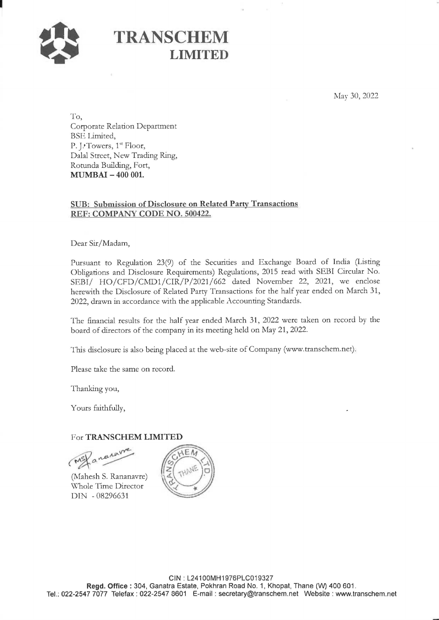

## TRANSCHEM<br>LIMITED

May 30, 2022

To, Corporate Relation Department BSE Limited, P. J. Towers, 1<sup>st</sup> Floor, Dalal Street, New Trading Ring, Rotunda Building, Fort, MUMBAI - 400 001.

## SUB: Submission of Disclosure on Related Party Transactions REF: COMPANY CODE NO. 500422.

Dear Sir/Madam,

Pursuant to Regulation 23(9) of the Securities and Exchange Board of India (Listing Obligations and Disclosure Requirements) Regulations, 2015 read with SEBI Circular No. SEBI/ HO/CFD/CMD1/CIR/P/2021/662 dated November 22, 2021, we enclose herewith the Disclosure of Related Party Transactions for the half year ended on March 31, 2022, drawn in accordance with the applicable Accounting Standards.

The financial results for the half year ended March 31, 2022 were taken on record by the board of directors of the company in its meeting held on May 21, 2022.

This disclosure is also being placed at the web-site of Company (www.transchem.net),

Please take the same on record.

Thanking you,

Yours faithfully,

## For TRANSCHEM LIMITED

MS/ a neuro

(Mahesh S. Rananavre) Whole Time Director DIN - 08296631